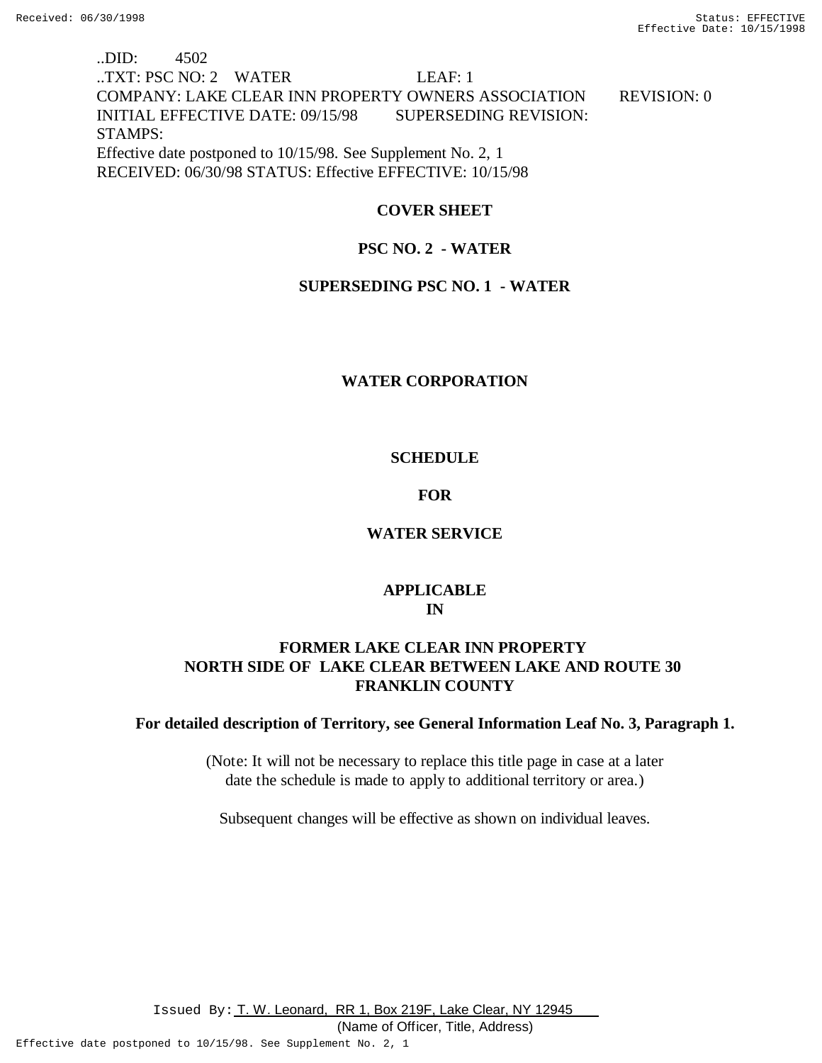# ..DID: 4502 ..TXT: PSC NO: 2 WATER LEAF: 1 COMPANY: LAKE CLEAR INN PROPERTY OWNERS ASSOCIATION REVISION: 0 INITIAL EFFECTIVE DATE: 09/15/98 SUPERSEDING REVISION: STAMPS: Effective date postponed to 10/15/98. See Supplement No. 2, 1 RECEIVED: 06/30/98 STATUS: Effective EFFECTIVE: 10/15/98

# **COVER SHEET**

# **PSC NO. 2 - WATER**

## **SUPERSEDING PSC NO. 1 - WATER**

# **WATER CORPORATION**

# **SCHEDULE**

## **FOR**

# **WATER SERVICE**

# **APPLICABLE IN**

# **FORMER LAKE CLEAR INN PROPERTY NORTH SIDE OF LAKE CLEAR BETWEEN LAKE AND ROUTE 30 FRANKLIN COUNTY**

## **For detailed description of Territory, see General Information Leaf No. 3, Paragraph 1.**

(Note: It will not be necessary to replace this title page in case at a later date the schedule is made to apply to additional territory or area.)

Subsequent changes will be effective as shown on individual leaves.

Issued By: T. W. Leonard, RR 1, Box 219F, Lake Clear, NY 12945

(Name of Officer, Title, Address)

Effective date postponed to 10/15/98. See Supplement No. 2, 1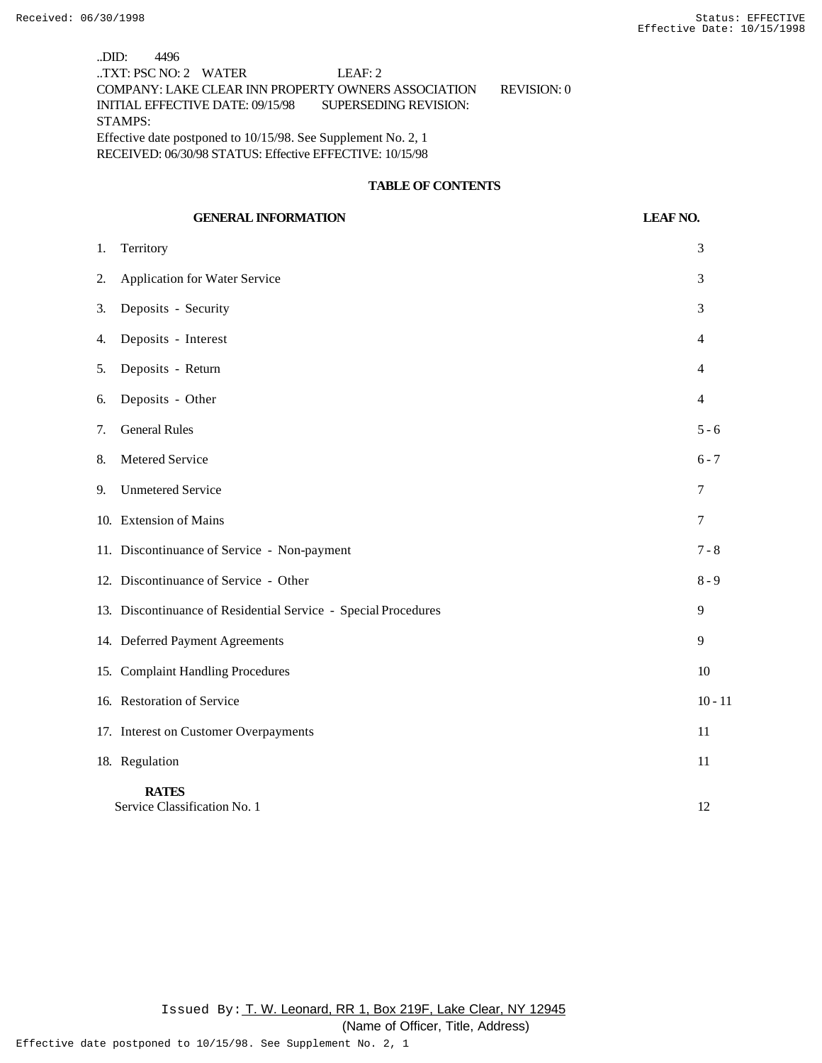..DID: 4496 ..TXT: PSC NO: 2 WATER LEAF: 2 COMPANY: LAKE CLEAR INN PROPERTY OWNERS ASSOCIATION REVISION: 0 INITIAL EFFECTIVE DATE: 09/15/98 SUPERSEDING REVISION: STAMPS: Effective date postponed to 10/15/98. See Supplement No. 2, 1 RECEIVED: 06/30/98 STATUS: Effective EFFECTIVE: 10/15/98

## **TABLE OF CONTENTS**

# **GENERAL INFORMATION LEAF NO.** 1. Territory 3 2. Application for Water Service 3 3. Deposits - Security 3 4. Deposits - Interest 4 5. Deposits - Return 4 6. Deposits - Other 4 7. General Rules 5 - 6 8. Metered Service 6 - 7 9. Unmetered Service 7 10. Extension of Mains 7 11. Discontinuance of Service - Non-payment 7 - 8 12. Discontinuance of Service - Other 8 - 9 13. Discontinuance of Residential Service - Special Procedures 9 14. Deferred Payment Agreements 9 15. Complaint Handling Procedures 10 16. Restoration of Service 10 - 11 17. Interest on Customer Overpayments 11 18. Regulation 11 **RATES** Service Classification No. 1 12

Issued By: T. W. Leonard, RR 1, Box 219F, Lake Clear, NY 12945

(Name of Officer, Title, Address)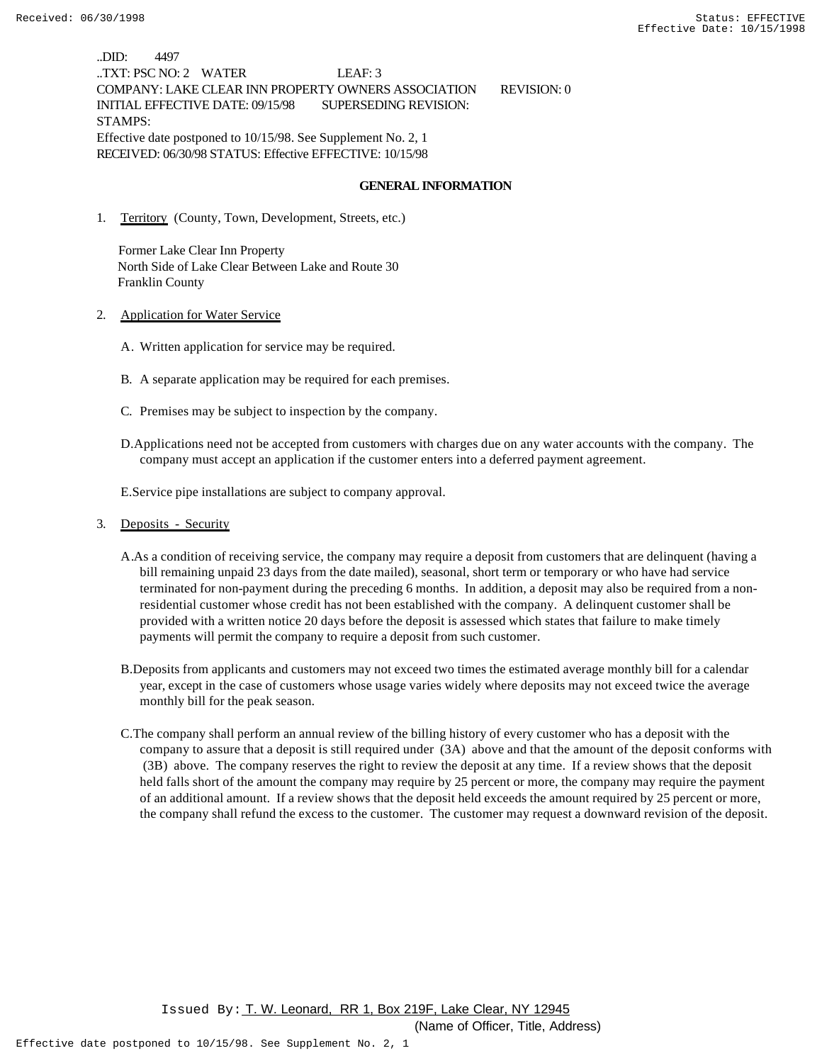..DID: 4497 ..TXT: PSC NO: 2 WATER LEAF: 3 COMPANY: LAKE CLEAR INN PROPERTY OWNERS ASSOCIATION REVISION: 0 INITIAL EFFECTIVE DATE: 09/15/98 SUPERSEDING REVISION: STAMPS: Effective date postponed to 10/15/98. See Supplement No. 2, 1 RECEIVED: 06/30/98 STATUS: Effective EFFECTIVE: 10/15/98

#### **GENERAL INFORMATION**

1. Territory (County, Town, Development, Streets, etc.)

 Former Lake Clear Inn Property North Side of Lake Clear Between Lake and Route 30 Franklin County

- 2. Application for Water Service
	- A. Written application for service may be required.
	- B. A separate application may be required for each premises.
	- C. Premises may be subject to inspection by the company.
	- D.Applications need not be accepted from customers with charges due on any water accounts with the company. The company must accept an application if the customer enters into a deferred payment agreement.

E.Service pipe installations are subject to company approval.

- 3. Deposits Security
	- A.As a condition of receiving service, the company may require a deposit from customers that are delinquent (having a bill remaining unpaid 23 days from the date mailed), seasonal, short term or temporary or who have had service terminated for non-payment during the preceding 6 months. In addition, a deposit may also be required from a nonresidential customer whose credit has not been established with the company. A delinquent customer shall be provided with a written notice 20 days before the deposit is assessed which states that failure to make timely payments will permit the company to require a deposit from such customer.
	- B.Deposits from applicants and customers may not exceed two times the estimated average monthly bill for a calendar year, except in the case of customers whose usage varies widely where deposits may not exceed twice the average monthly bill for the peak season.
	- C.The company shall perform an annual review of the billing history of every customer who has a deposit with the company to assure that a deposit is still required under (3A) above and that the amount of the deposit conforms with (3B) above. The company reserves the right to review the deposit at any time. If a review shows that the deposit held falls short of the amount the company may require by 25 percent or more, the company may require the payment of an additional amount. If a review shows that the deposit held exceeds the amount required by 25 percent or more, the company shall refund the excess to the customer. The customer may request a downward revision of the deposit.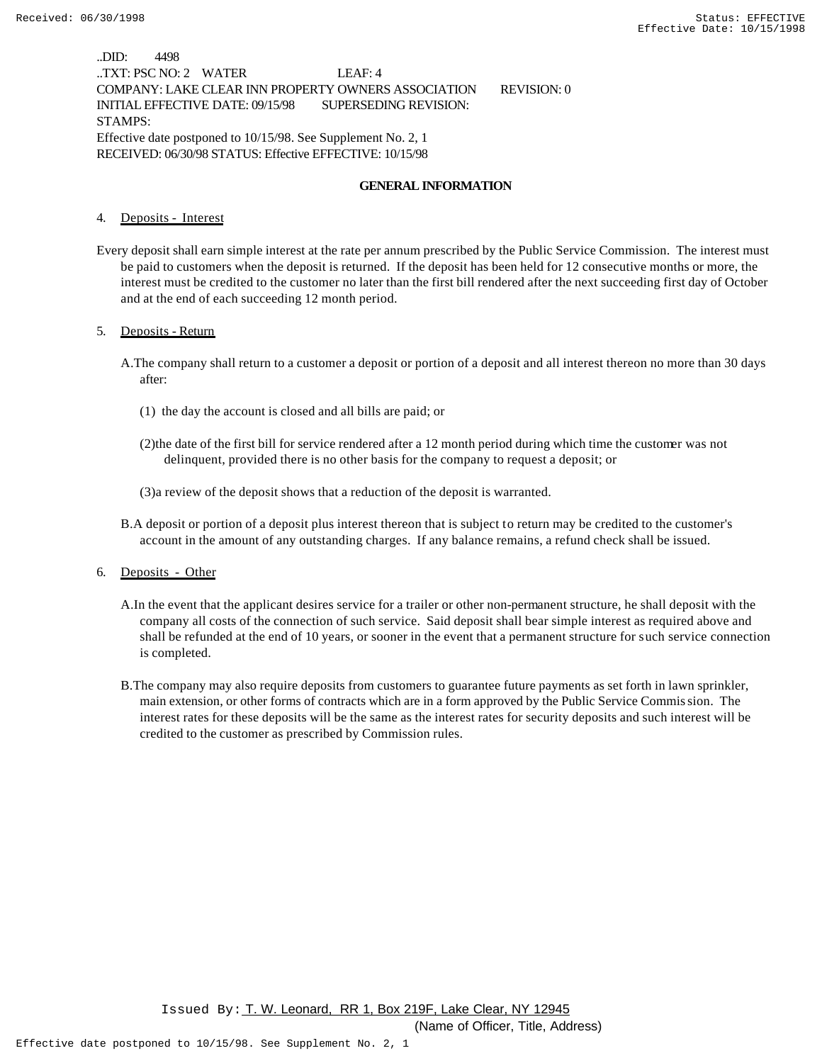..DID: 4498 ..TXT: PSC NO: 2 WATER LEAF: 4 COMPANY: LAKE CLEAR INN PROPERTY OWNERS ASSOCIATION REVISION: 0 INITIAL EFFECTIVE DATE: 09/15/98 SUPERSEDING REVISION: STAMPS: Effective date postponed to 10/15/98. See Supplement No. 2, 1 RECEIVED: 06/30/98 STATUS: Effective EFFECTIVE: 10/15/98

#### **GENERAL INFORMATION**

4. Deposits - Interest

Every deposit shall earn simple interest at the rate per annum prescribed by the Public Service Commission. The interest must be paid to customers when the deposit is returned. If the deposit has been held for 12 consecutive months or more, the interest must be credited to the customer no later than the first bill rendered after the next succeeding first day of October and at the end of each succeeding 12 month period.

#### 5. Deposits - Return

- A.The company shall return to a customer a deposit or portion of a deposit and all interest thereon no more than 30 days after:
	- (1) the day the account is closed and all bills are paid; or
	- (2)the date of the first bill for service rendered after a 12 month period during which time the customer was not delinquent, provided there is no other basis for the company to request a deposit; or
	- (3)a review of the deposit shows that a reduction of the deposit is warranted.
- B.A deposit or portion of a deposit plus interest thereon that is subject to return may be credited to the customer's account in the amount of any outstanding charges. If any balance remains, a refund check shall be issued.

6. Deposits - Other

- A.In the event that the applicant desires service for a trailer or other non-permanent structure, he shall deposit with the company all costs of the connection of such service. Said deposit shall bear simple interest as required above and shall be refunded at the end of 10 years, or sooner in the event that a permanent structure for such service connection is completed.
- B.The company may also require deposits from customers to guarantee future payments as set forth in lawn sprinkler, main extension, or other forms of contracts which are in a form approved by the Public Service Commission. The interest rates for these deposits will be the same as the interest rates for security deposits and such interest will be credited to the customer as prescribed by Commission rules.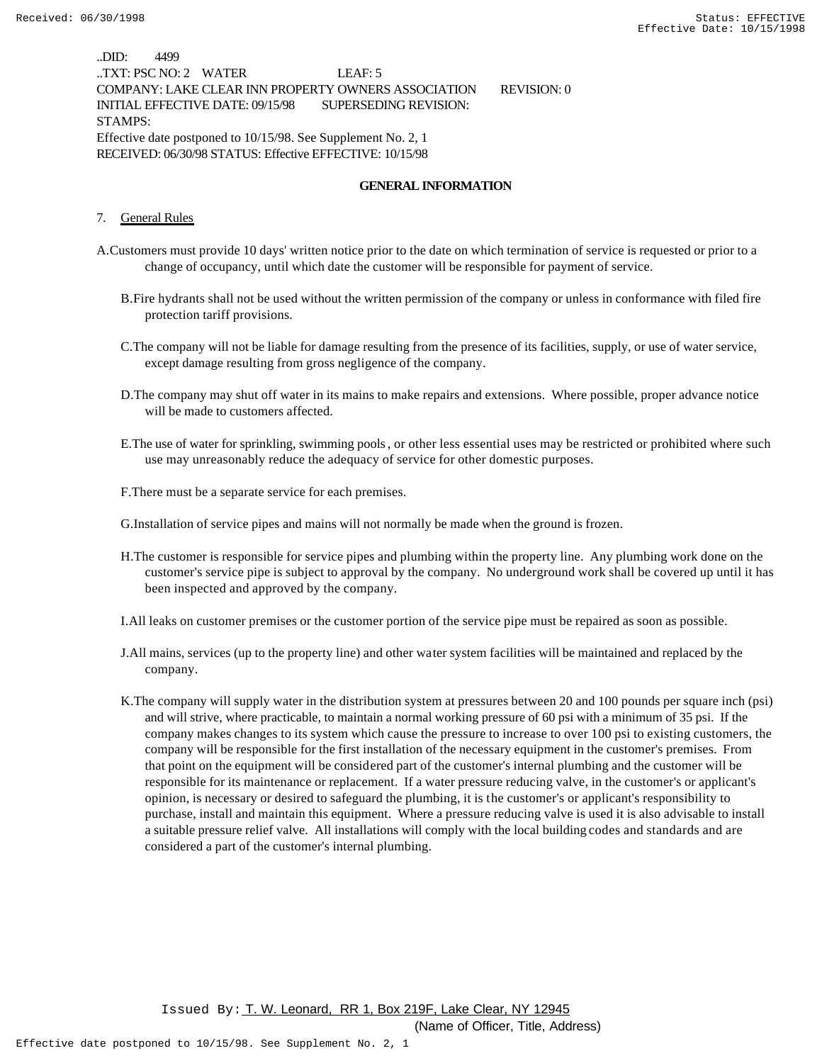..DID: 4499 ..TXT: PSC NO: 2 WATER LEAF: 5 COMPANY: LAKE CLEAR INN PROPERTY OWNERS ASSOCIATION REVISION: 0 INITIAL EFFECTIVE DATE: 09/15/98 SUPERSEDING REVISION: STAMPS: Effective date postponed to 10/15/98. See Supplement No. 2, 1 RECEIVED: 06/30/98 STATUS: Effective EFFECTIVE: 10/15/98

#### **GENERAL INFORMATION**

7. General Rules

- A.Customers must provide 10 days' written notice prior to the date on which termination of service is requested or prior to a change of occupancy, until which date the customer will be responsible for payment of service.
	- B.Fire hydrants shall not be used without the written permission of the company or unless in conformance with filed fire protection tariff provisions.
	- C.The company will not be liable for damage resulting from the presence of its facilities, supply, or use of water service, except damage resulting from gross negligence of the company.
	- D.The company may shut off water in its mains to make repairs and extensions. Where possible, proper advance notice will be made to customers affected.
	- E.The use of water for sprinkling, swimming pools, or other less essential uses may be restricted or prohibited where such use may unreasonably reduce the adequacy of service for other domestic purposes.

F.There must be a separate service for each premises.

G.Installation of service pipes and mains will not normally be made when the ground is frozen.

H.The customer is responsible for service pipes and plumbing within the property line. Any plumbing work done on the customer's service pipe is subject to approval by the company. No underground work shall be covered up until it has been inspected and approved by the company.

I.All leaks on customer premises or the customer portion of the service pipe must be repaired as soon as possible.

- J.All mains, services (up to the property line) and other water system facilities will be maintained and replaced by the company.
- K.The company will supply water in the distribution system at pressures between 20 and 100 pounds per square inch (psi) and will strive, where practicable, to maintain a normal working pressure of 60 psi with a minimum of 35 psi. If the company makes changes to its system which cause the pressure to increase to over 100 psi to existing customers, the company will be responsible for the first installation of the necessary equipment in the customer's premises. From that point on the equipment will be considered part of the customer's internal plumbing and the customer will be responsible for its maintenance or replacement. If a water pressure reducing valve, in the customer's or applicant's opinion, is necessary or desired to safeguard the plumbing, it is the customer's or applicant's responsibility to purchase, install and maintain this equipment. Where a pressure reducing valve is used it is also advisable to install a suitable pressure relief valve. All installations will comply with the local building codes and standards and are considered a part of the customer's internal plumbing.

 Issued By: T. W. Leonard, RR 1, Box 219F, Lake Clear, NY 12945 (Name of Officer, Title, Address)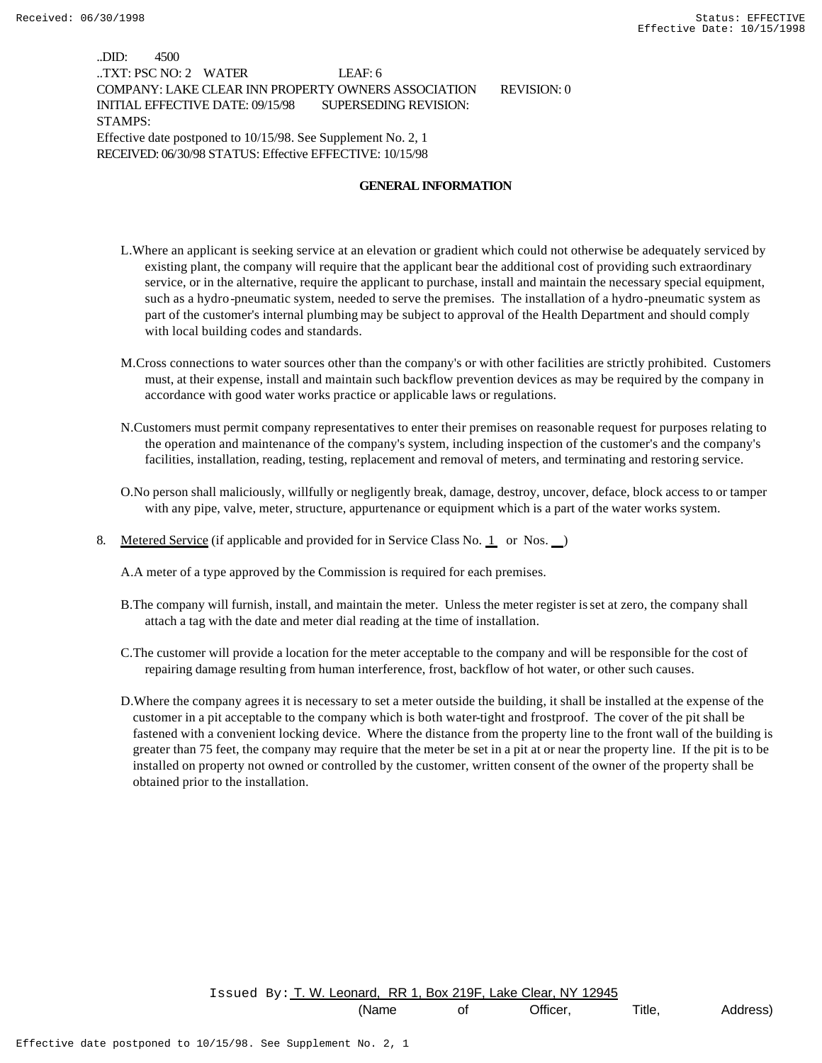..DID: 4500 ..TXT: PSC NO: 2 WATER LEAF: 6 COMPANY: LAKE CLEAR INN PROPERTY OWNERS ASSOCIATION REVISION: 0 INITIAL EFFECTIVE DATE: 09/15/98 SUPERSEDING REVISION: STAMPS: Effective date postponed to 10/15/98. See Supplement No. 2, 1 RECEIVED: 06/30/98 STATUS: Effective EFFECTIVE: 10/15/98

#### **GENERAL INFORMATION**

- L.Where an applicant is seeking service at an elevation or gradient which could not otherwise be adequately serviced by existing plant, the company will require that the applicant bear the additional cost of providing such extraordinary service, or in the alternative, require the applicant to purchase, install and maintain the necessary special equipment, such as a hydro-pneumatic system, needed to serve the premises. The installation of a hydro-pneumatic system as part of the customer's internal plumbing may be subject to approval of the Health Department and should comply with local building codes and standards.
- M.Cross connections to water sources other than the company's or with other facilities are strictly prohibited. Customers must, at their expense, install and maintain such backflow prevention devices as may be required by the company in accordance with good water works practice or applicable laws or regulations.
- N.Customers must permit company representatives to enter their premises on reasonable request for purposes relating to the operation and maintenance of the company's system, including inspection of the customer's and the company's facilities, installation, reading, testing, replacement and removal of meters, and terminating and restoring service.
- O.No person shall maliciously, willfully or negligently break, damage, destroy, uncover, deface, block access to or tamper with any pipe, valve, meter, structure, appurtenance or equipment which is a part of the water works system.
- 8. Metered Service (if applicable and provided for in Service Class No. 1 or Nos. )

A.A meter of a type approved by the Commission is required for each premises.

- B.The company will furnish, install, and maintain the meter. Unless the meter register is set at zero, the company shall attach a tag with the date and meter dial reading at the time of installation.
- C.The customer will provide a location for the meter acceptable to the company and will be responsible for the cost of repairing damage resulting from human interference, frost, backflow of hot water, or other such causes.
- D.Where the company agrees it is necessary to set a meter outside the building, it shall be installed at the expense of the customer in a pit acceptable to the company which is both water-tight and frostproof. The cover of the pit shall be fastened with a convenient locking device. Where the distance from the property line to the front wall of the building is greater than 75 feet, the company may require that the meter be set in a pit at or near the property line. If the pit is to be installed on property not owned or controlled by the customer, written consent of the owner of the property shall be obtained prior to the installation.

Issued By: T. W. Leonard, RR 1, Box 219F, Lake Clear, NY 12945

(Name of Officer, Title, Address)

Effective date postponed to 10/15/98. See Supplement No. 2, 1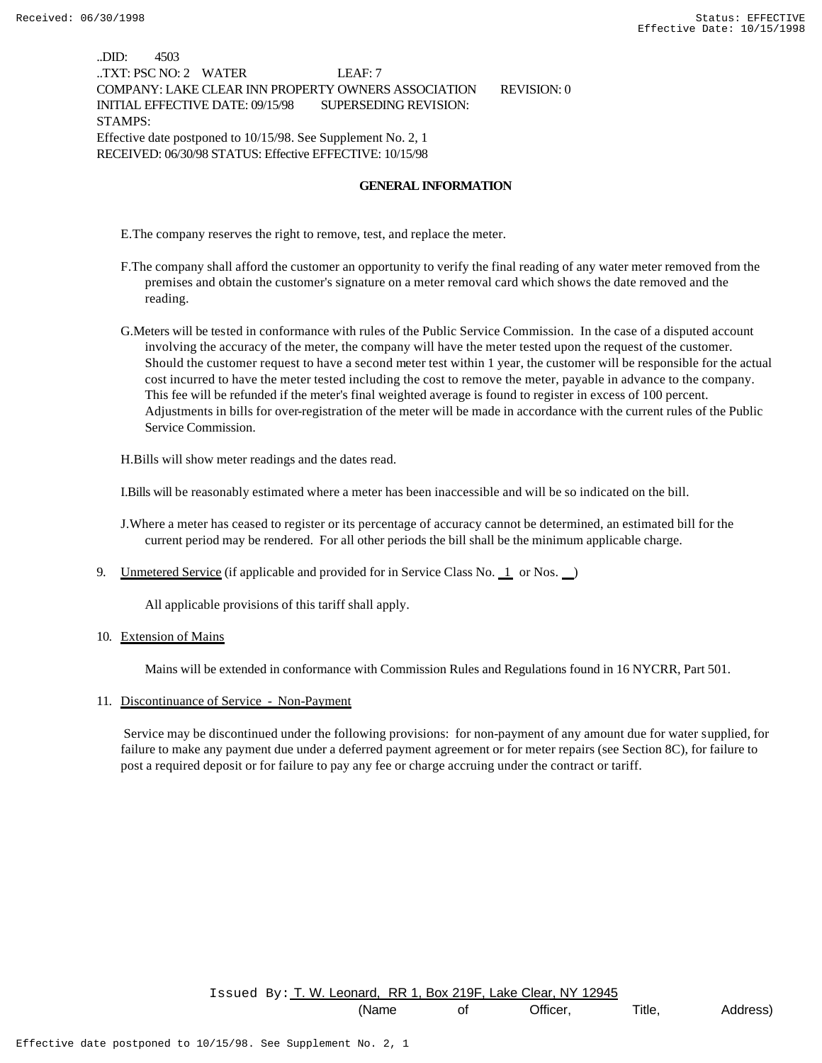..DID: 4503 ..TXT: PSC NO: 2 WATER LEAF: 7 COMPANY: LAKE CLEAR INN PROPERTY OWNERS ASSOCIATION REVISION: 0 INITIAL EFFECTIVE DATE: 09/15/98 SUPERSEDING REVISION: STAMPS: Effective date postponed to 10/15/98. See Supplement No. 2, 1 RECEIVED: 06/30/98 STATUS: Effective EFFECTIVE: 10/15/98

#### **GENERAL INFORMATION**

E.The company reserves the right to remove, test, and replace the meter.

- F.The company shall afford the customer an opportunity to verify the final reading of any water meter removed from the premises and obtain the customer's signature on a meter removal card which shows the date removed and the reading.
- G.Meters will be tested in conformance with rules of the Public Service Commission. In the case of a disputed account involving the accuracy of the meter, the company will have the meter tested upon the request of the customer. Should the customer request to have a second meter test within 1 year, the customer will be responsible for the actual cost incurred to have the meter tested including the cost to remove the meter, payable in advance to the company. This fee will be refunded if the meter's final weighted average is found to register in excess of 100 percent. Adjustments in bills for over-registration of the meter will be made in accordance with the current rules of the Public Service Commission.

H.Bills will show meter readings and the dates read.

I.Bills will be reasonably estimated where a meter has been inaccessible and will be so indicated on the bill.

J.Where a meter has ceased to register or its percentage of accuracy cannot be determined, an estimated bill for the current period may be rendered. For all other periods the bill shall be the minimum applicable charge.

9. Unmetered Service (if applicable and provided for in Service Class No. 1 or Nos. )

All applicable provisions of this tariff shall apply.

10. Extension of Mains

Mains will be extended in conformance with Commission Rules and Regulations found in 16 NYCRR, Part 501.

11. Discontinuance of Service - Non-Payment

 Service may be discontinued under the following provisions: for non-payment of any amount due for water supplied, for failure to make any payment due under a deferred payment agreement or for meter repairs (see Section 8C), for failure to post a required deposit or for failure to pay any fee or charge accruing under the contract or tariff.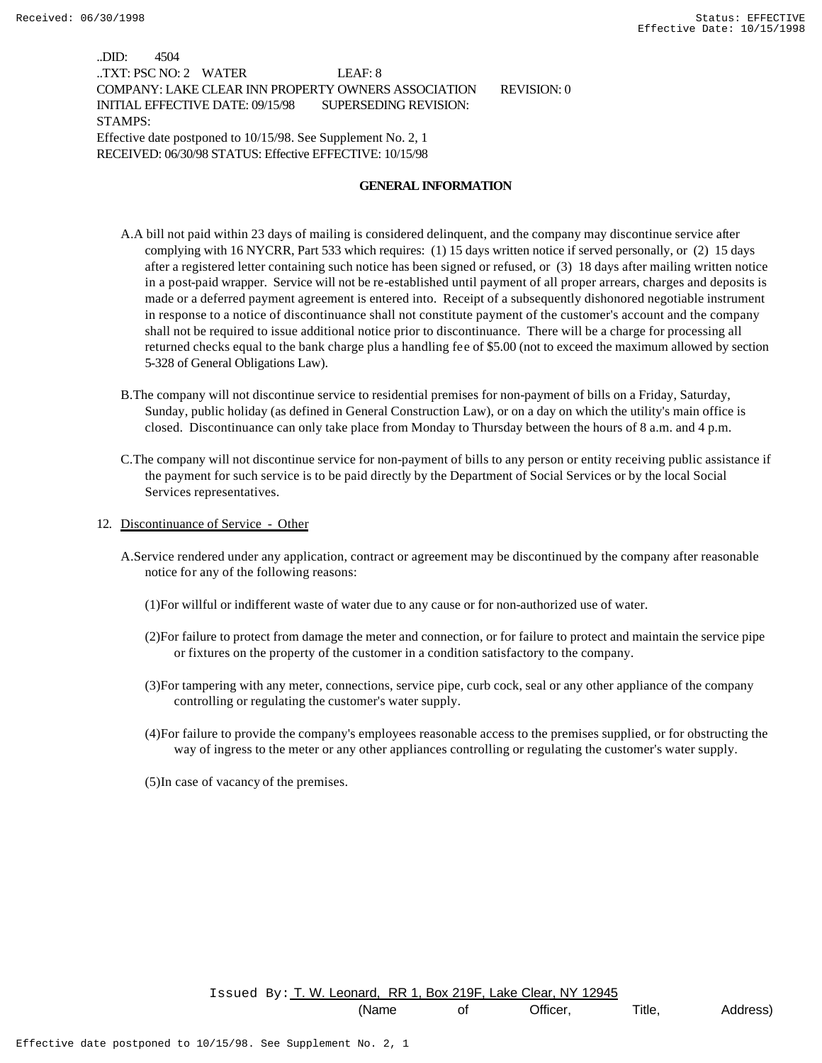..DID: 4504 ..TXT: PSC NO: 2 WATER LEAF: 8 COMPANY: LAKE CLEAR INN PROPERTY OWNERS ASSOCIATION REVISION: 0 INITIAL EFFECTIVE DATE: 09/15/98 SUPERSEDING REVISION: STAMPS: Effective date postponed to 10/15/98. See Supplement No. 2, 1 RECEIVED: 06/30/98 STATUS: Effective EFFECTIVE: 10/15/98

#### **GENERAL INFORMATION**

- A.A bill not paid within 23 days of mailing is considered delinquent, and the company may discontinue service after complying with 16 NYCRR, Part 533 which requires: (1) 15 days written notice if served personally, or (2) 15 days after a registered letter containing such notice has been signed or refused, or (3) 18 days after mailing written notice in a post-paid wrapper. Service will not be re-established until payment of all proper arrears, charges and deposits is made or a deferred payment agreement is entered into. Receipt of a subsequently dishonored negotiable instrument in response to a notice of discontinuance shall not constitute payment of the customer's account and the company shall not be required to issue additional notice prior to discontinuance. There will be a charge for processing all returned checks equal to the bank charge plus a handling fee of \$5.00 (not to exceed the maximum allowed by section 5-328 of General Obligations Law).
- B.The company will not discontinue service to residential premises for non-payment of bills on a Friday, Saturday, Sunday, public holiday (as defined in General Construction Law), or on a day on which the utility's main office is closed. Discontinuance can only take place from Monday to Thursday between the hours of 8 a.m. and 4 p.m.
- C.The company will not discontinue service for non-payment of bills to any person or entity receiving public assistance if the payment for such service is to be paid directly by the Department of Social Services or by the local Social Services representatives.
- 12. Discontinuance of Service Other
	- A.Service rendered under any application, contract or agreement may be discontinued by the company after reasonable notice for any of the following reasons:
		- (1)For willful or indifferent waste of water due to any cause or for non-authorized use of water.
		- (2)For failure to protect from damage the meter and connection, or for failure to protect and maintain the service pipe or fixtures on the property of the customer in a condition satisfactory to the company.
		- (3)For tampering with any meter, connections, service pipe, curb cock, seal or any other appliance of the company controlling or regulating the customer's water supply.
		- (4)For failure to provide the company's employees reasonable access to the premises supplied, or for obstructing the way of ingress to the meter or any other appliances controlling or regulating the customer's water supply.
		- (5)In case of vacancy of the premises.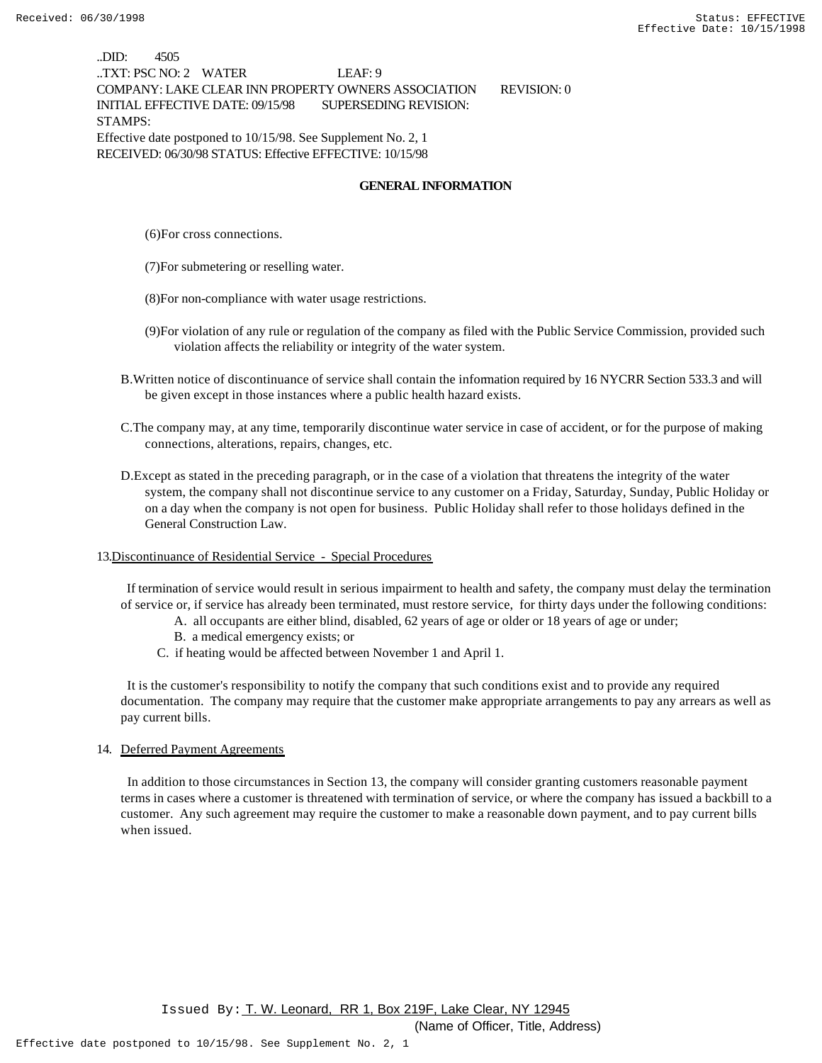..DID: 4505 ..TXT: PSC NO: 2 WATER LEAF: 9 COMPANY: LAKE CLEAR INN PROPERTY OWNERS ASSOCIATION REVISION: 0 INITIAL EFFECTIVE DATE: 09/15/98 SUPERSEDING REVISION: STAMPS: Effective date postponed to 10/15/98. See Supplement No. 2, 1 RECEIVED: 06/30/98 STATUS: Effective EFFECTIVE: 10/15/98

#### **GENERAL INFORMATION**

(6)For cross connections.

(7)For submetering or reselling water.

- (8)For non-compliance with water usage restrictions.
- (9)For violation of any rule or regulation of the company as filed with the Public Service Commission, provided such violation affects the reliability or integrity of the water system.
- B.Written notice of discontinuance of service shall contain the information required by 16 NYCRR Section 533.3 and will be given except in those instances where a public health hazard exists.
- C.The company may, at any time, temporarily discontinue water service in case of accident, or for the purpose of making connections, alterations, repairs, changes, etc.
- D.Except as stated in the preceding paragraph, or in the case of a violation that threatens the integrity of the water system, the company shall not discontinue service to any customer on a Friday, Saturday, Sunday, Public Holiday or on a day when the company is not open for business. Public Holiday shall refer to those holidays defined in the General Construction Law.
- 13.Discontinuance of Residential Service Special Procedures

 If termination of service would result in serious impairment to health and safety, the company must delay the termination of service or, if service has already been terminated, must restore service, for thirty days under the following conditions:

- A. all occupants are either blind, disabled, 62 years of age or older or 18 years of age or under;
- B. a medical emergency exists; or
- C. if heating would be affected between November 1 and April 1.

 It is the customer's responsibility to notify the company that such conditions exist and to provide any required documentation. The company may require that the customer make appropriate arrangements to pay any arrears as well as pay current bills.

#### 14. Deferred Payment Agreements

 In addition to those circumstances in Section 13, the company will consider granting customers reasonable payment terms in cases where a customer is threatened with termination of service, or where the company has issued a backbill to a customer. Any such agreement may require the customer to make a reasonable down payment, and to pay current bills when issued.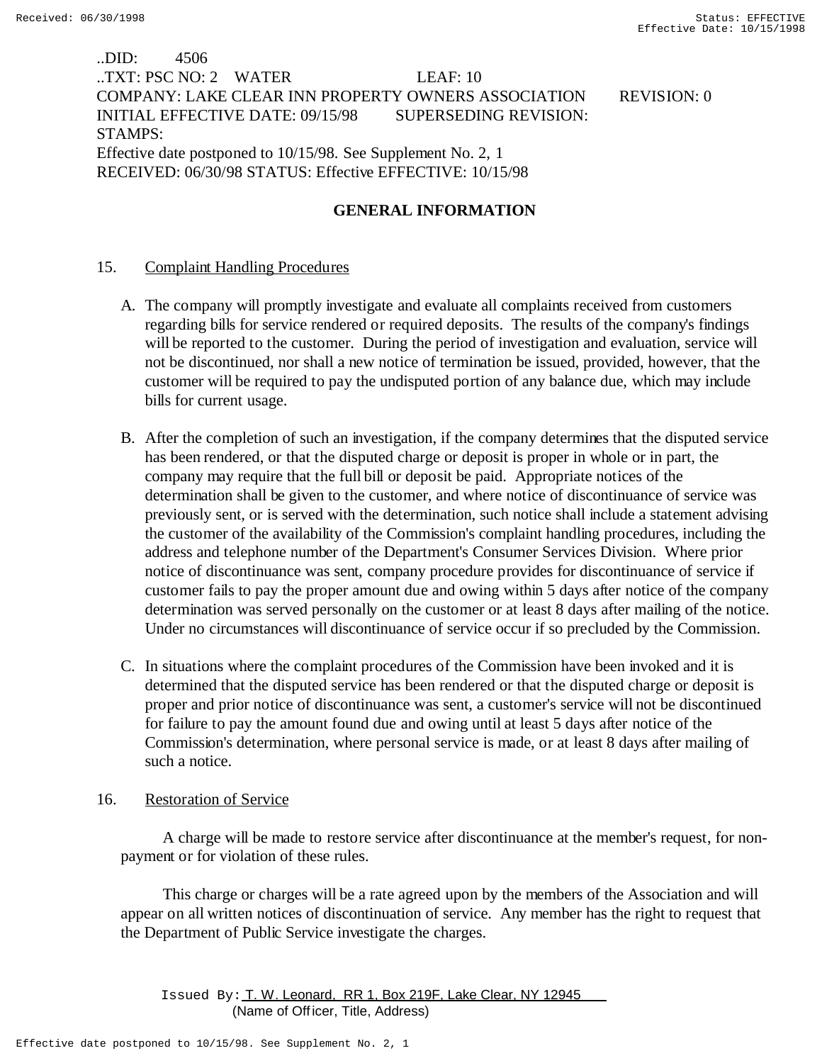# ..DID: 4506 ..TXT: PSC NO: 2 WATER LEAF: 10 COMPANY: LAKE CLEAR INN PROPERTY OWNERS ASSOCIATION REVISION: 0 INITIAL EFFECTIVE DATE: 09/15/98 SUPERSEDING REVISION: STAMPS: Effective date postponed to 10/15/98. See Supplement No. 2, 1 RECEIVED: 06/30/98 STATUS: Effective EFFECTIVE: 10/15/98

# **GENERAL INFORMATION**

## 15. Complaint Handling Procedures

- A. The company will promptly investigate and evaluate all complaints received from customers regarding bills for service rendered or required deposits. The results of the company's findings will be reported to the customer. During the period of investigation and evaluation, service will not be discontinued, nor shall a new notice of termination be issued, provided, however, that the customer will be required to pay the undisputed portion of any balance due, which may include bills for current usage.
- B. After the completion of such an investigation, if the company determines that the disputed service has been rendered, or that the disputed charge or deposit is proper in whole or in part, the company may require that the full bill or deposit be paid. Appropriate notices of the determination shall be given to the customer, and where notice of discontinuance of service was previously sent, or is served with the determination, such notice shall include a statement advising the customer of the availability of the Commission's complaint handling procedures, including the address and telephone number of the Department's Consumer Services Division. Where prior notice of discontinuance was sent, company procedure provides for discontinuance of service if customer fails to pay the proper amount due and owing within 5 days after notice of the company determination was served personally on the customer or at least 8 days after mailing of the notice. Under no circumstances will discontinuance of service occur if so precluded by the Commission.
- C. In situations where the complaint procedures of the Commission have been invoked and it is determined that the disputed service has been rendered or that the disputed charge or deposit is proper and prior notice of discontinuance was sent, a customer's service will not be discontinued for failure to pay the amount found due and owing until at least 5 days after notice of the Commission's determination, where personal service is made, or at least 8 days after mailing of such a notice.

## 16. Restoration of Service

 A charge will be made to restore service after discontinuance at the member's request, for nonpayment or for violation of these rules.

 This charge or charges will be a rate agreed upon by the members of the Association and will appear on all written notices of discontinuation of service. Any member has the right to request that the Department of Public Service investigate the charges.

Issued By: T. W. Leonard, RR 1, Box 219F, Lake Clear, NY 12945 (Name of Off icer, Title, Address)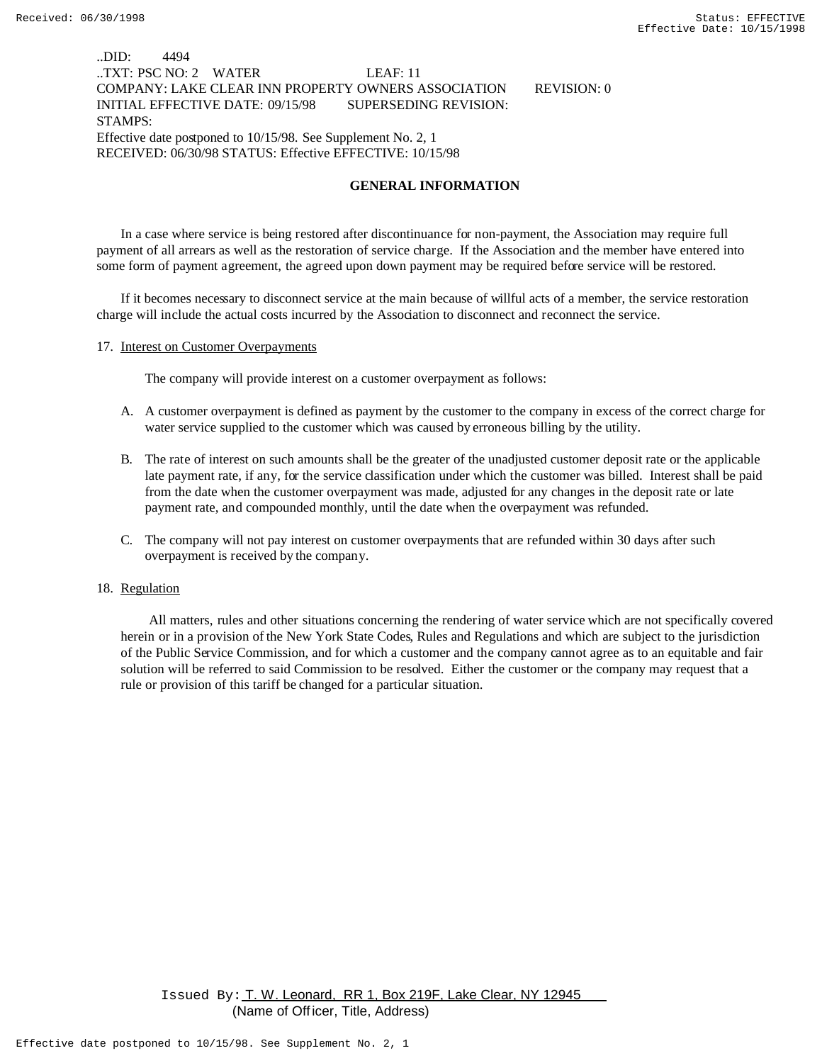## ..DID: 4494 ..TXT: PSC NO: 2 WATER LEAF: 11 COMPANY: LAKE CLEAR INN PROPERTY OWNERS ASSOCIATION REVISION: 0 INITIAL EFFECTIVE DATE: 09/15/98 SUPERSEDING REVISION: STAMPS: Effective date postponed to 10/15/98. See Supplement No. 2, 1 RECEIVED: 06/30/98 STATUS: Effective EFFECTIVE: 10/15/98

#### **GENERAL INFORMATION**

In a case where service is being restored after discontinuance for non-payment, the Association may require full payment of all arrears as well as the restoration of service charge. If the Association and the member have entered into some form of payment agreement, the agreed upon down payment may be required before service will be restored.

If it becomes necessary to disconnect service at the main because of willful acts of a member, the service restoration charge will include the actual costs incurred by the Association to disconnect and reconnect the service.

#### 17. Interest on Customer Overpayments

The company will provide interest on a customer overpayment as follows:

- A. A customer overpayment is defined as payment by the customer to the company in excess of the correct charge for water service supplied to the customer which was caused by erroneous billing by the utility.
- B. The rate of interest on such amounts shall be the greater of the unadjusted customer deposit rate or the applicable late payment rate, if any, for the service classification under which the customer was billed. Interest shall be paid from the date when the customer overpayment was made, adjusted for any changes in the deposit rate or late payment rate, and compounded monthly, until the date when the overpayment was refunded.
- C. The company will not pay interest on customer overpayments that are refunded within 30 days after such overpayment is received by the company.

#### 18. Regulation

 All matters, rules and other situations concerning the rendering of water service which are not specifically covered herein or in a provision of the New York State Codes, Rules and Regulations and which are subject to the jurisdiction of the Public Service Commission, and for which a customer and the company cannot agree as to an equitable and fair solution will be referred to said Commission to be resolved. Either the customer or the company may request that a rule or provision of this tariff be changed for a particular situation.

Issued By: T. W. Leonard, RR 1, Box 219F, Lake Clear, NY 12945 (Name of Off icer, Title, Address)